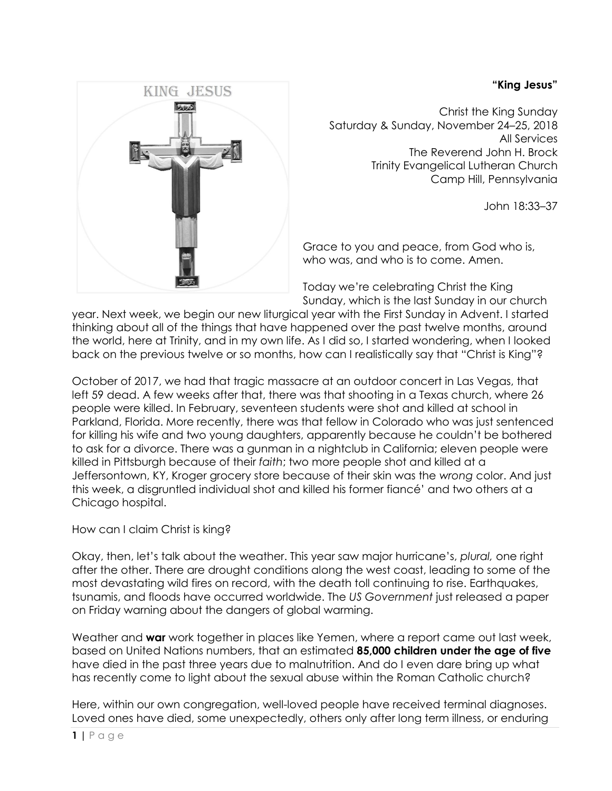## **"King Jesus"**



Christ the King Sunday Saturday & Sunday, November 24–25, 2018 All Services The Reverend John H. Brock Trinity Evangelical Lutheran Church Camp Hill, Pennsylvania

John 18:33–37

Grace to you and peace, from God who is, who was, and who is to come. Amen.

Today we're celebrating Christ the King Sunday, which is the last Sunday in our church

year. Next week, we begin our new liturgical year with the First Sunday in Advent. I started thinking about all of the things that have happened over the past twelve months, around the world, here at Trinity, and in my own life. As I did so, I started wondering, when I looked back on the previous twelve or so months, how can I realistically say that "Christ is King"?

October of 2017, we had that tragic massacre at an outdoor concert in Las Vegas, that left 59 dead. A few weeks after that, there was that shooting in a Texas church, where 26 people were killed. In February, seventeen students were shot and killed at school in Parkland, Florida. More recently, there was that fellow in Colorado who was just sentenced for killing his wife and two young daughters, apparently because he couldn't be bothered to ask for a divorce. There was a gunman in a nightclub in California; eleven people were killed in Pittsburgh because of their *faith*; two more people shot and killed at a Jeffersontown, KY, Kroger grocery store because of their skin was the *wrong* color. And just this week, a disgruntled individual shot and killed his former fiancé' and two others at a Chicago hospital.

How can I claim Christ is king?

Okay, then, let's talk about the weather. This year saw major hurricane's, *plural,* one right after the other. There are drought conditions along the west coast, leading to some of the most devastating wild fires on record, with the death toll continuing to rise. Earthquakes, tsunamis, and floods have occurred worldwide. The *US Government* just released a paper on Friday warning about the dangers of global warming.

Weather and **war** work together in places like Yemen, where a report came out last week, based on United Nations numbers, that an estimated **85,000 children under the age of five**  have died in the past three years due to malnutrition. And do I even dare bring up what has recently come to light about the sexual abuse within the Roman Catholic church?

Here, within our own congregation, well-loved people have received terminal diagnoses. Loved ones have died, some unexpectedly, others only after long term illness, or enduring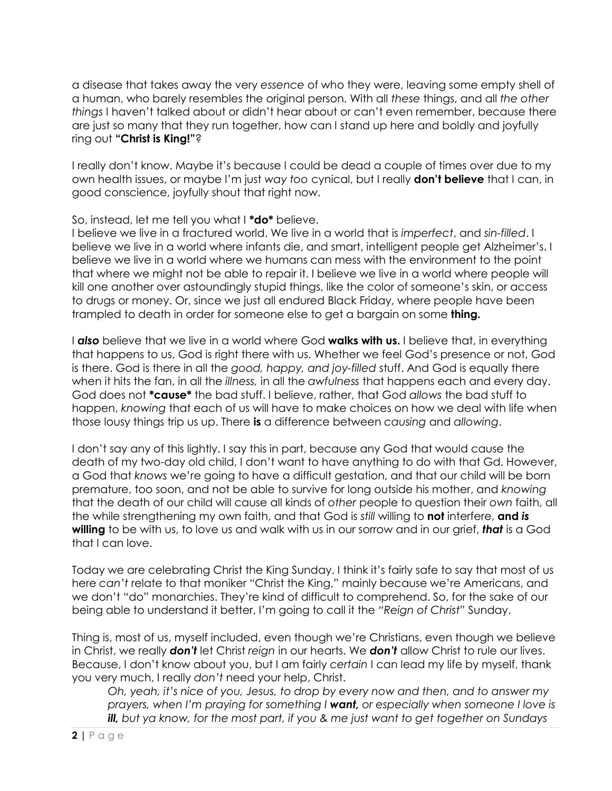a disease that takes away the very *essence* of who they were, leaving some empty shell of a human, who barely resembles the original person. With all *these* things, and all *the other things* I haven't talked about or didn't hear about or can't even remember, because there are just so many that they run together, how can I stand up here and boldly and joyfully ring out **"Christ is King!"**?

I really don't know. Maybe it's because I could be dead a couple of times over due to my own health issues, or maybe I'm just *way too* cynical, but I really **don't believe** that I can, in good conscience, joyfully shout that right now.

So, instead, let me tell you what I **\*do\*** believe.

I believe we live in a fractured world. We live in a world that is *imperfect*, and *sin-filled*. I believe we live in a world where infants die, and smart, intelligent people get Alzheimer's. I believe we live in a world where we humans can mess with the environment to the point that where we might not be able to repair it. I believe we live in a world where people will kill one another over astoundingly stupid things, like the color of someone's skin, or access to drugs or money. Or, since we just all endured Black Friday, where people have been trampled to death in order for someone else to get a bargain on some **thing.**

I *also* believe that we live in a world where God **walks with us.** I believe that, in everything that happens to us, God is right there with us. Whether we feel God's presence or not, God is there. God is there in all the *good, happy, and joy-filled* stuff. And God is equally there when it hits the fan, in all the *illness,* in all the *awfulness* that happens each and every day. God does not **\*cause\*** the bad stuff. I believe, rather, that God *allows* the bad stuff to happen, *knowing* that each of us will have to make choices on how we deal with life when those lousy things trip us up. There **is** a difference between *causing* and *allowing*.

I don't say any of this lightly. I say this in part, because any God that would cause the death of my two-day old child, I don't want to have anything to do with that Gd. However, a God that *knows* we're going to have a difficult gestation, and that our child will be born premature, too soon, and not be able to survive for long outside his mother, and *knowing*  that the death of our child will cause all kinds of *other* people to question their *own* faith, all the while strengthening my own faith, and that God is *still* willing to **not** interfere, **and** *is*  **willing** to be with us, to love us and walk with us in our sorrow and in our grief, *that* is a God that I can love.

Today we are celebrating Christ the King Sunday. I think it's fairly safe to say that most of us here *can't* relate to that moniker "Christ the King," mainly because we're Americans, and we don't "do" monarchies. They're kind of difficult to comprehend. So, for the sake of our being able to understand it better, I'm going to call it the *"Reign of Christ"* Sunday.

Thing is, most of us, myself included, even though we're Christians, even though we believe in Christ, we really *don't* let Christ *reign* in our hearts. We *don't* allow Christ to rule our lives. Because, I don't know about you, but I am fairly *certain* I can lead my life by myself, thank you very much, I really *don't* need your help, Christ.

*Oh, yeah, it's nice of you, Jesus, to drop by every now and then, and to answer my prayers, when I'm praying for something I want, or especially when someone I love is ill, but ya know, for the most part, if you & me just want to get together on Sundays*